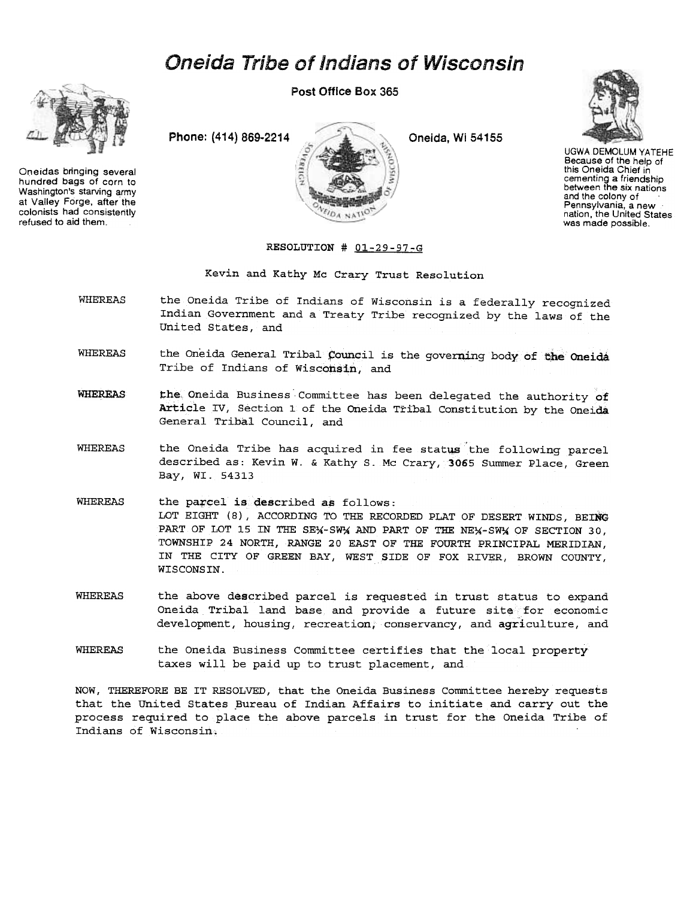## Oneida Tribe of Indians of Wisconsin



Oneidas bringing several hundred bags of corn to Washington's starving army at Valley Forge, after the colonists had consistently refused to aid them.

Post Office Box 365





UGWADEMOLUM YATEHE Because of the help of this Oneida Chief in cementing a friendship between the six nations and the colony of Pennsylvania, a new nation, the United States was made possible.

## RESOLUTION # Ol-29-97-G

Kevin and Kathy Mc Crary Trust Resolution

- **WHEREAS** the Oneida Tribe of Indians of Wisconsin is a federally recognized Indian Government and a Treaty Tribe recognized by the laws of the United states, and
- WHEREAS the Oneida General Tribal Council is the governing body of the Oneida Tribe of Indians of Wisconsin, and
- WHEREAS the Oneida Business Committee has been delegated the authority of Article IV, Section 1 of the Oneida Tribal Constitution by the Oneida General Tribal Council, and
- WHEREAS the Oneida Tribe has acquired in fee status the following parc described as: Kevin W. & Kathy S. Mc Crary, 3065 Summer Place, Green Bay, WI. 54313
- **WHEREAS** the parcel is described as follows: LOT EIGHT (8), ACCORDING TO THE RECORDED PLAT OF DESERT WINDS, BEING PART OF LOT 15 IN THE SEX-SW' AND PART OF THE NEX-SW' OF SECTION 30. TOWNSHIP 24 NORTH, RANGE 20 EAST OF THE FOURTH PRINCIPAL MERIDIAN, IN THE CITY OF GREEN BAY, WEST SIDE OF FOX RIVER, BROWN COUNTY, WISCONSIN.
- WHEREAS the above described parcel is requested in trust status to expand Oneida Tribal land base and provide a future site for economic development, housing, recreation, conservancy, and agriculture, and
- WHEREAS the Oneida Business Committee certifies that the local property taxes will be paid up to trust placement, and

NOW, THEREFORE BE IT RESOLVED, that the Oneida Business Committee hereby requests that the United States Bureau of Indian Affairs to initiate and carry out the process required to place the above parcels in trust for the Oneida Tribe of Indians of Wisconsin.